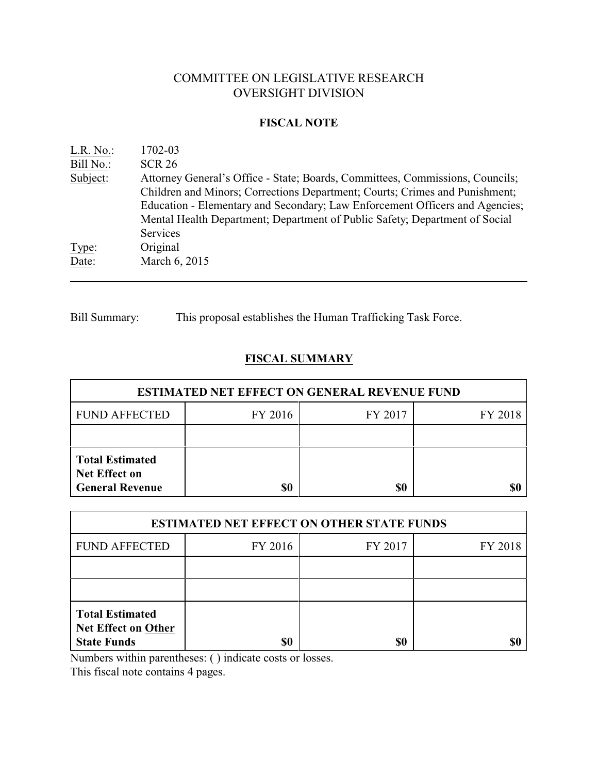# COMMITTEE ON LEGISLATIVE RESEARCH OVERSIGHT DIVISION

### **FISCAL NOTE**

| $L.R. No.$ : | 1702-03                                                                       |
|--------------|-------------------------------------------------------------------------------|
| Bill No.:    | <b>SCR 26</b>                                                                 |
| Subject:     | Attorney General's Office - State; Boards, Committees, Commissions, Councils; |
|              | Children and Minors; Corrections Department; Courts; Crimes and Punishment;   |
|              | Education - Elementary and Secondary; Law Enforcement Officers and Agencies;  |
|              | Mental Health Department; Department of Public Safety; Department of Social   |
|              | Services                                                                      |
| Type:        | Original                                                                      |
| Date:        | March 6, 2015                                                                 |
|              |                                                                               |

Bill Summary: This proposal establishes the Human Trafficking Task Force.

## **FISCAL SUMMARY**

| <b>ESTIMATED NET EFFECT ON GENERAL REVENUE FUND</b>               |         |         |         |  |
|-------------------------------------------------------------------|---------|---------|---------|--|
| <b>FUND AFFECTED</b>                                              | FY 2016 | FY 2017 | FY 2018 |  |
|                                                                   |         |         |         |  |
| <b>Total Estimated</b><br>Net Effect on<br><b>General Revenue</b> | \$0     | \$0     |         |  |

| <b>ESTIMATED NET EFFECT ON OTHER STATE FUNDS</b>                           |         |         |         |  |
|----------------------------------------------------------------------------|---------|---------|---------|--|
| <b>FUND AFFECTED</b>                                                       | FY 2016 | FY 2017 | FY 2018 |  |
|                                                                            |         |         |         |  |
|                                                                            |         |         |         |  |
| <b>Total Estimated</b><br><b>Net Effect on Other</b><br><b>State Funds</b> | \$0     | \$0     |         |  |

Numbers within parentheses: ( ) indicate costs or losses.

This fiscal note contains 4 pages.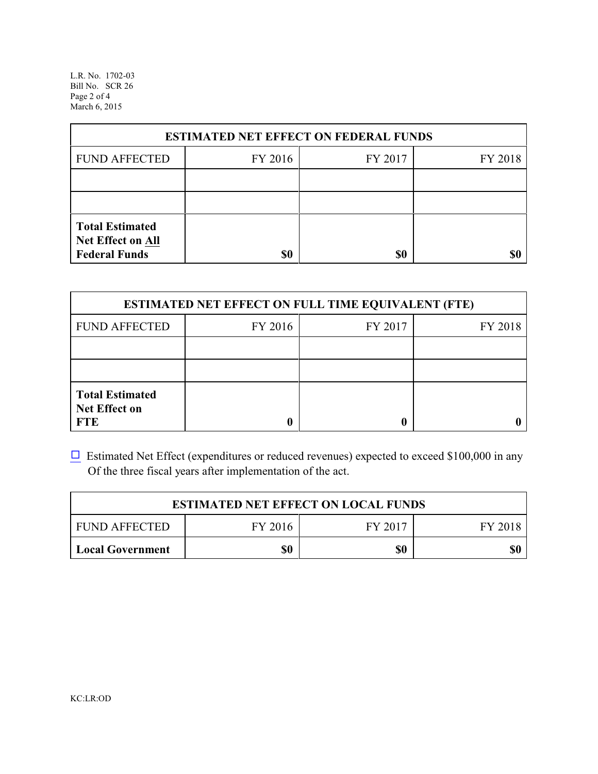L.R. No. 1702-03 Bill No. SCR 26 Page 2 of 4 March 6, 2015

| <b>ESTIMATED NET EFFECT ON FEDERAL FUNDS</b>                        |         |         |         |  |
|---------------------------------------------------------------------|---------|---------|---------|--|
| <b>FUND AFFECTED</b>                                                | FY 2016 | FY 2017 | FY 2018 |  |
|                                                                     |         |         |         |  |
|                                                                     |         |         |         |  |
| <b>Total Estimated</b><br>Net Effect on All<br><b>Federal Funds</b> | \$0     | \$0     |         |  |

| <b>ESTIMATED NET EFFECT ON FULL TIME EQUIVALENT (FTE)</b>    |         |         |         |  |
|--------------------------------------------------------------|---------|---------|---------|--|
| <b>FUND AFFECTED</b>                                         | FY 2016 | FY 2017 | FY 2018 |  |
|                                                              |         |         |         |  |
|                                                              |         |         |         |  |
| <b>Total Estimated</b><br><b>Net Effect on</b><br><b>FTE</b> |         |         |         |  |

 $\Box$  Estimated Net Effect (expenditures or reduced revenues) expected to exceed \$100,000 in any Of the three fiscal years after implementation of the act.

| <b>ESTIMATED NET EFFECT ON LOCAL FUNDS</b> |         |         |         |
|--------------------------------------------|---------|---------|---------|
| <b>FUND AFFECTED</b>                       | FY 2016 | FY 2017 | FY 2018 |
| <b>Local Government</b>                    | \$0     | \$0     | \$0     |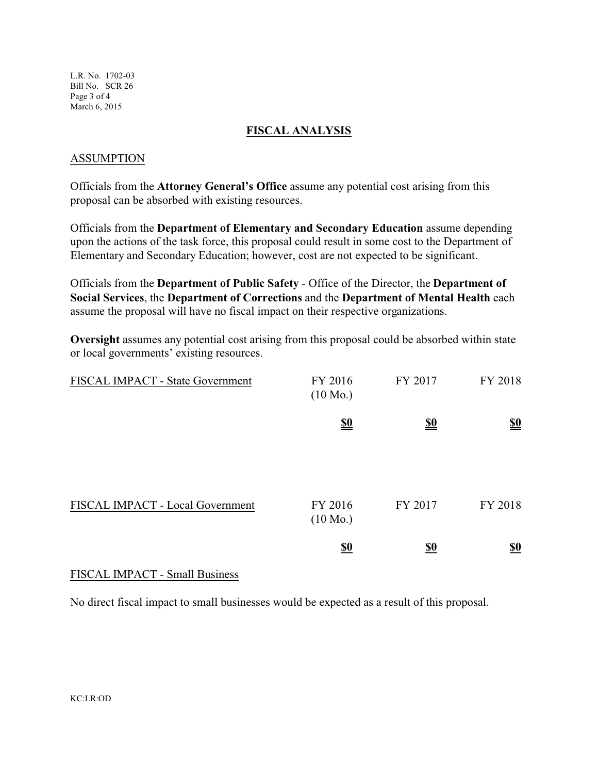L.R. No. 1702-03 Bill No. SCR 26 Page 3 of 4 March 6, 2015

#### **FISCAL ANALYSIS**

### ASSUMPTION

Officials from the **Attorney General's Office** assume any potential cost arising from this proposal can be absorbed with existing resources.

Officials from the **Department of Elementary and Secondary Education** assume depending upon the actions of the task force, this proposal could result in some cost to the Department of Elementary and Secondary Education; however, cost are not expected to be significant.

Officials from the **Department of Public Safety** - Office of the Director, the **Department of Social Services**, the **Department of Corrections** and the **Department of Mental Health** each assume the proposal will have no fiscal impact on their respective organizations.

**Oversight** assumes any potential cost arising from this proposal could be absorbed within state or local governments' existing resources.

| FISCAL IMPACT - State Government | FY 2016<br>$(10 \text{ Mo.})$ | FY 2017                       | FY 2018                       |
|----------------------------------|-------------------------------|-------------------------------|-------------------------------|
|                                  | $\underline{\underline{\$0}}$ | $\underline{\underline{\$0}}$ | $\underline{\underline{\$0}}$ |
| FISCAL IMPACT - Local Government | FY 2016<br>$(10 \text{ Mo.})$ | FY 2017                       | FY 2018                       |
|                                  | $\underline{\underline{\$0}}$ | <u>\$0</u>                    | $\underline{\underline{\$0}}$ |

## FISCAL IMPACT - Small Business

No direct fiscal impact to small businesses would be expected as a result of this proposal.